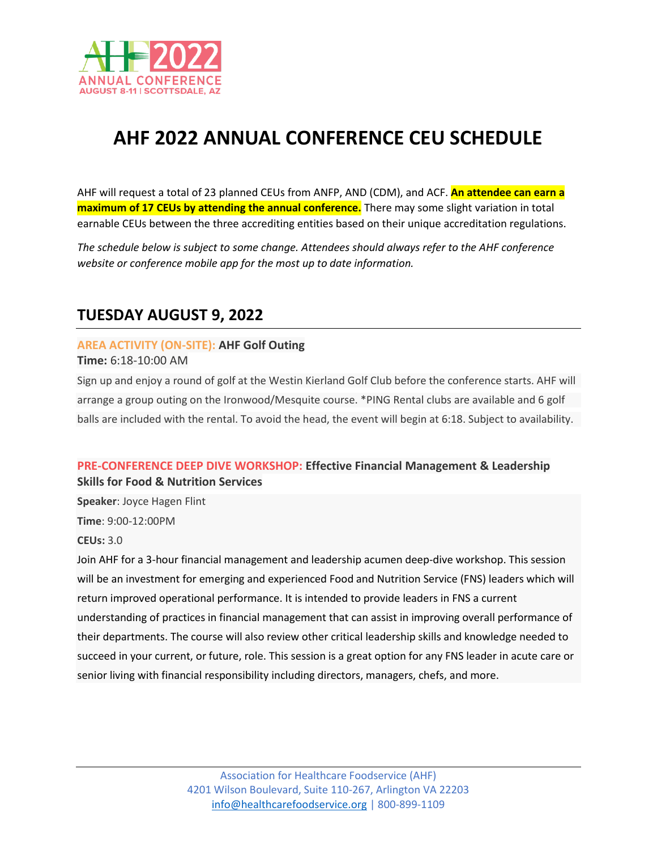

# **AHF 2022 ANNUAL CONFERENCE CEU SCHEDULE**

AHF will request a total of 23 planned CEUs from ANFP, AND (CDM), and ACF. **An attendee can earn a maximum of 17 CEUs by attending the annual conference.** There may some slight variation in total earnable CEUs between the three accrediting entities based on their unique accreditation regulations.

*The schedule below is subject to some change. Attendees should always refer to the AHF conference website or conference mobile app for the most up to date information.* 

# **TUESDAY AUGUST 9, 2022**

**AREA ACTIVITY (ON-SITE): AHF Golf Outing**

**Time:** 6:18-10:00 AM

Sign up and enjoy a round of golf at the Westin Kierland Golf Club before the conference starts. AHF will arrange a group outing on the Ironwood/Mesquite course. \*PING Rental clubs are available and 6 golf balls are included with the rental. To avoid the head, the event will begin at 6:18. Subject to availability.

# **PRE-CONFERENCE DEEP DIVE WORKSHOP: Effective Financial Management & Leadership Skills for Food & Nutrition Services**

**Speaker**: Joyce Hagen Flint

**Time**: 9:00-12:00PM

**CEUs:** 3.0

Join AHF for a 3-hour financial management and leadership acumen deep-dive workshop. This session will be an investment for emerging and experienced Food and Nutrition Service (FNS) leaders which will return improved operational performance. It is intended to provide leaders in FNS a current understanding of practices in financial management that can assist in improving overall performance of their departments. The course will also review other critical leadership skills and knowledge needed to succeed in your current, or future, role. This session is a great option for any FNS leader in acute care or senior living with financial responsibility including directors, managers, chefs, and more.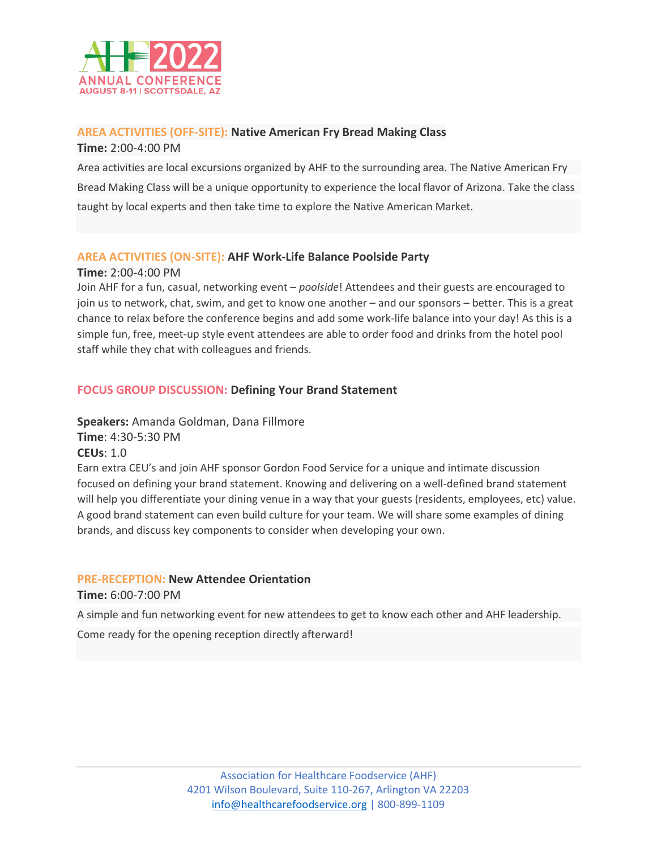

### **AREA ACTIVITIES (OFF-SITE): Native American Fry Bread Making Class**

**Time:** 2:00-4:00 PM

Area activities are local excursions organized by AHF to the surrounding area. The Native American Fry Bread Making Class will be a unique opportunity to experience the local flavor of Arizona. Take the class taught by local experts and then take time to explore the Native American Market.

# **AREA ACTIVITIES (ON-SITE): AHF Work-Life Balance Poolside Party**

**Time:** 2:00-4:00 PM

Join AHF for a fun, casual, networking event – *poolside*! Attendees and their guests are encouraged to join us to network, chat, swim, and get to know one another – and our sponsors – better. This is a great chance to relax before the conference begins and add some work-life balance into your day! As this is a simple fun, free, meet-up style event attendees are able to order food and drinks from the hotel pool staff while they chat with colleagues and friends.

# **FOCUS GROUP DISCUSSION: Defining Your Brand Statement**

**Speakers:** Amanda Goldman, Dana Fillmore **Time**: 4:30-5:30 PM

**CEUs**: 1.0

Earn extra CEU's and join AHF sponsor Gordon Food Service for a unique and intimate discussion focused on defining your brand statement. Knowing and delivering on a well-defined brand statement will help you differentiate your dining venue in a way that your guests (residents, employees, etc) value. A good brand statement can even build culture for your team. We will share some examples of dining brands, and discuss key components to consider when developing your own.

### **PRE-RECEPTION: New Attendee Orientation**

**Time:** 6:00-7:00 PM

A simple and fun networking event for new attendees to get to know each other and AHF leadership.

Come ready for the opening reception directly afterward!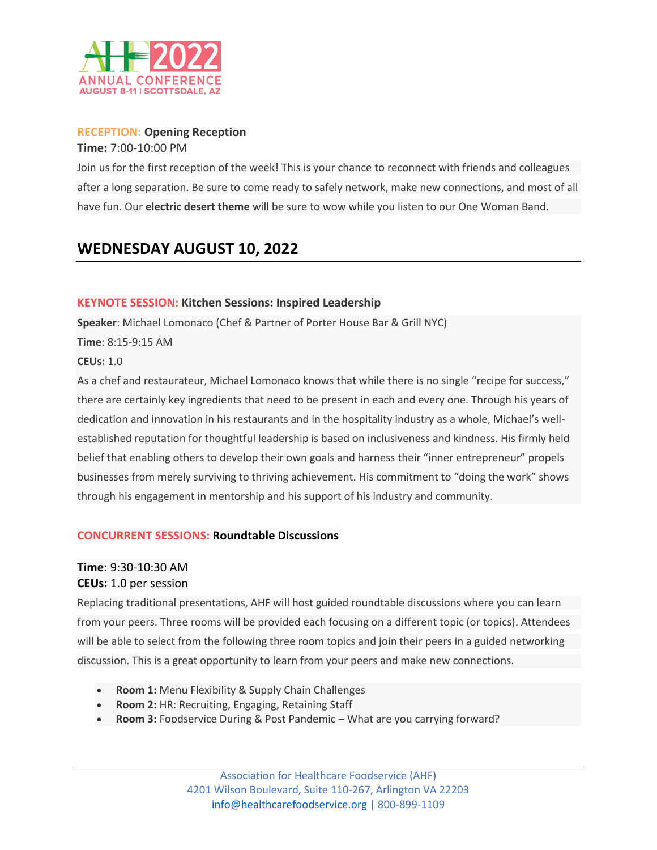

#### **RECEPTION: Opening Reception**

**Time:** 7:00-10:00 PM

Join us for the first reception of the week! This is your chance to reconnect with friends and colleagues after a long separation. Be sure to come ready to safely network, make new connections, and most of all have fun. Our **electric desert theme** will be sure to wow while you listen to our One Woman Band.

# **WEDNESDAY AUGUST 10, 2022**

#### **KEYNOTE SESSION: Kitchen Sessions: Inspired Leadership**

**Speaker**: Michael Lomonaco (Chef & Partner of Porter House Bar & Grill NYC)

**Time**: 8:15-9:15 AM

**CEUs:** 1.0

As a chef and restaurateur, Michael Lomonaco knows that while there is no single "recipe for success," there are certainly key ingredients that need to be present in each and every one. Through his years of dedication and innovation in his restaurants and in the hospitality industry as a whole, Michael's wellestablished reputation for thoughtful leadership is based on inclusiveness and kindness. His firmly held belief that enabling others to develop their own goals and harness their "inner entrepreneur" propels businesses from merely surviving to thriving achievement. His commitment to "doing the work" shows through his engagement in mentorship and his support of his industry and community.

### **CONCURRENT SESSIONS: Roundtable Discussions**

# **Time:** 9:30-10:30 AM **CEUs:** 1.0 per session

Replacing traditional presentations, AHF will host guided roundtable discussions where you can learn from your peers. Three rooms will be provided each focusing on a different topic (or topics). Attendees will be able to select from the following three room topics and join their peers in a guided networking discussion. This is a great opportunity to learn from your peers and make new connections.

- **Room 1:** Menu Flexibility & Supply Chain Challenges
- **Room 2:** HR: Recruiting, Engaging, Retaining Staff
- **Room 3:** Foodservice During & Post Pandemic What are you carrying forward?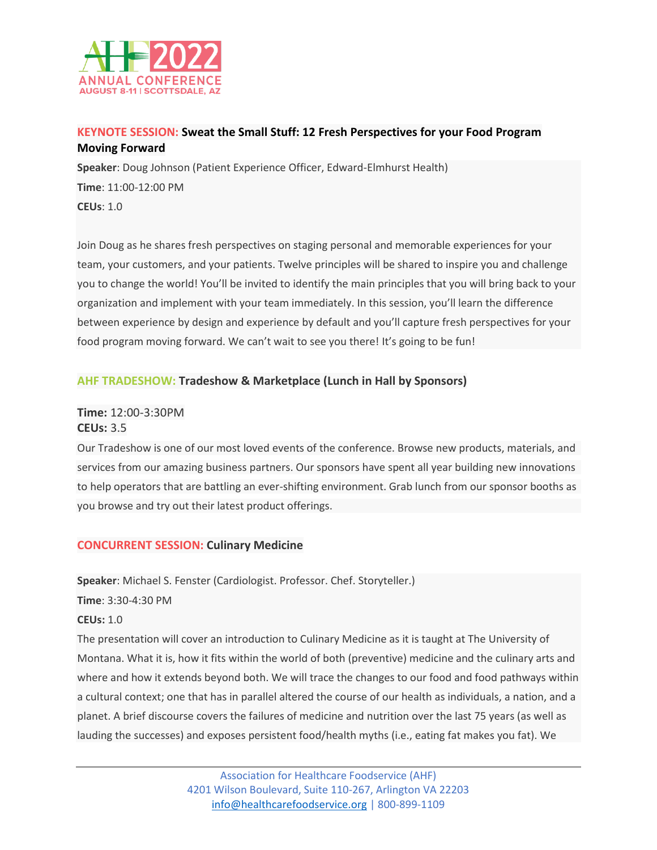

# **KEYNOTE SESSION: Sweat the Small Stuff: 12 Fresh Perspectives for your Food Program Moving Forward**

**Speaker**: Doug Johnson (Patient Experience Officer, Edward-Elmhurst Health) **Time**: 11:00-12:00 PM **CEUs**: 1.0

Join Doug as he shares fresh perspectives on staging personal and memorable experiences for your team, your customers, and your patients. Twelve principles will be shared to inspire you and challenge you to change the world! You'll be invited to identify the main principles that you will bring back to your organization and implement with your team immediately. In this session, you'll learn the difference between experience by design and experience by default and you'll capture fresh perspectives for your food program moving forward. We can't wait to see you there! It's going to be fun!

# **AHF TRADESHOW: Tradeshow & Marketplace (Lunch in Hall by Sponsors)**

# **Time:** 12:00-3:30PM **CEUs:** 3.5

Our Tradeshow is one of our most loved events of the conference. Browse new products, materials, and services from our amazing business partners. Our sponsors have spent all year building new innovations to help operators that are battling an ever-shifting environment. Grab lunch from our sponsor booths as you browse and try out their latest product offerings.

# **CONCURRENT SESSION: Culinary Medicine**

**Speaker**: Michael S. Fenster (Cardiologist. Professor. Chef. Storyteller.)

**Time**: 3:30-4:30 PM

### **CEUs:** 1.0

The presentation will cover an introduction to Culinary Medicine as it is taught at The University of Montana. What it is, how it fits within the world of both (preventive) medicine and the culinary arts and where and how it extends beyond both. We will trace the changes to our food and food pathways within a cultural context; one that has in parallel altered the course of our health as individuals, a nation, and a planet. A brief discourse covers the failures of medicine and nutrition over the last 75 years (as well as lauding the successes) and exposes persistent food/health myths (i.e., eating fat makes you fat). We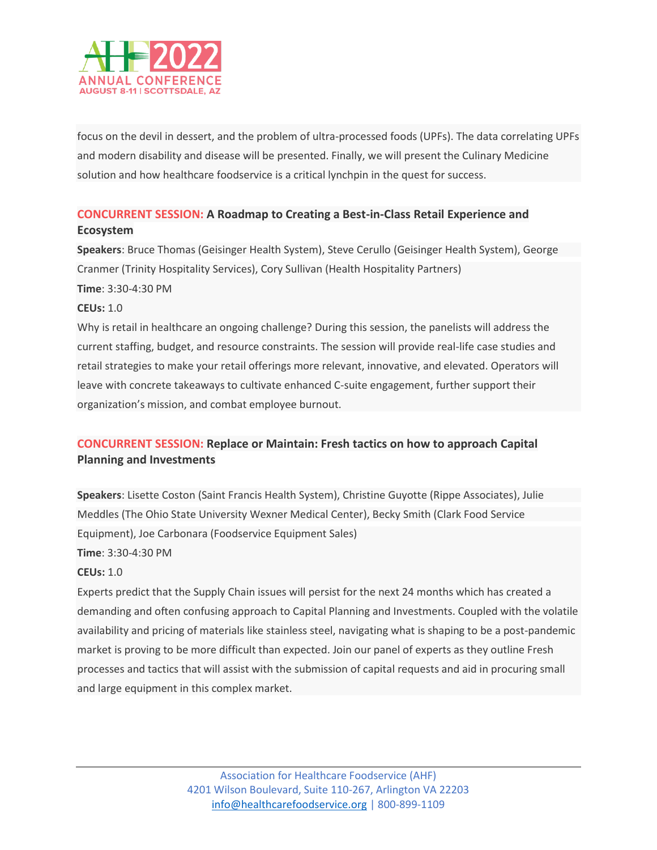

focus on the devil in dessert, and the problem of ultra-processed foods (UPFs). The data correlating UPFs and modern disability and disease will be presented. Finally, we will present the Culinary Medicine solution and how healthcare foodservice is a critical lynchpin in the quest for success.

# **CONCURRENT SESSION: A Roadmap to Creating a Best-in-Class Retail Experience and Ecosystem**

**Speakers**: Bruce Thomas (Geisinger Health System), Steve Cerullo (Geisinger Health System), George Cranmer (Trinity Hospitality Services), Cory Sullivan (Health Hospitality Partners) **Time**: 3:30-4:30 PM

#### **CEUs:** 1.0

Why is retail in healthcare an ongoing challenge? During this session, the panelists will address the current staffing, budget, and resource constraints. The session will provide real-life case studies and retail strategies to make your retail offerings more relevant, innovative, and elevated. Operators will leave with concrete takeaways to cultivate enhanced C-suite engagement, further support their organization's mission, and combat employee burnout.

# **CONCURRENT SESSION: Replace or Maintain: Fresh tactics on how to approach Capital Planning and Investments**

**Speakers**: Lisette Coston (Saint Francis Health System), Christine Guyotte (Rippe Associates), Julie Meddles (The Ohio State University Wexner Medical Center), Becky Smith (Clark Food Service Equipment), Joe Carbonara (Foodservice Equipment Sales) **Time**: 3:30-4:30 PM

#### **CEUs:** 1.0

Experts predict that the Supply Chain issues will persist for the next 24 months which has created a demanding and often confusing approach to Capital Planning and Investments. Coupled with the volatile availability and pricing of materials like stainless steel, navigating what is shaping to be a post-pandemic market is proving to be more difficult than expected. Join our panel of experts as they outline Fresh processes and tactics that will assist with the submission of capital requests and aid in procuring small and large equipment in this complex market.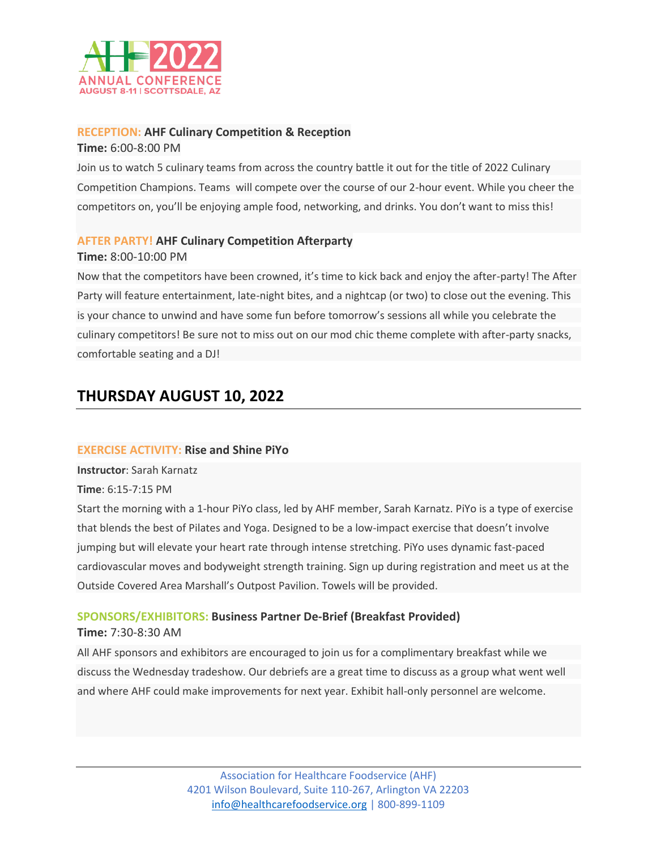

#### **RECEPTION: AHF Culinary Competition & Reception**

**Time:** 6:00-8:00 PM

Join us to watch 5 culinary teams from across the country battle it out for the title of 2022 Culinary Competition Champions. Teams will compete over the course of our 2-hour event. While you cheer the competitors on, you'll be enjoying ample food, networking, and drinks. You don't want to miss this!

### **AFTER PARTY! AHF Culinary Competition Afterparty**

#### **Time:** 8:00-10:00 PM

Now that the competitors have been crowned, it's time to kick back and enjoy the after-party! The After Party will feature entertainment, late-night bites, and a nightcap (or two) to close out the evening. This is your chance to unwind and have some fun before tomorrow's sessions all while you celebrate the culinary competitors! Be sure not to miss out on our mod chic theme complete with after-party snacks, comfortable seating and a DJ!

# **THURSDAY AUGUST 10, 2022**

#### **EXERCISE ACTIVITY: Rise and Shine PiYo**

**Instructor**: Sarah Karnatz

**Time**: 6:15-7:15 PM

Start the morning with a 1-hour PiYo class, led by AHF member, Sarah Karnatz. PiYo is a type of exercise that blends the best of Pilates and Yoga. Designed to be a low-impact exercise that doesn't involve jumping but will elevate your heart rate through intense stretching. PiYo uses dynamic fast-paced cardiovascular moves and bodyweight strength training. Sign up during registration and meet us at the Outside Covered Area Marshall's Outpost Pavilion. Towels will be provided.

# **SPONSORS/EXHIBITORS: Business Partner De-Brief (Breakfast Provided)**

#### **Time:** 7:30-8:30 AM

All AHF sponsors and exhibitors are encouraged to join us for a complimentary breakfast while we discuss the Wednesday tradeshow. Our debriefs are a great time to discuss as a group what went well and where AHF could make improvements for next year. Exhibit hall-only personnel are welcome.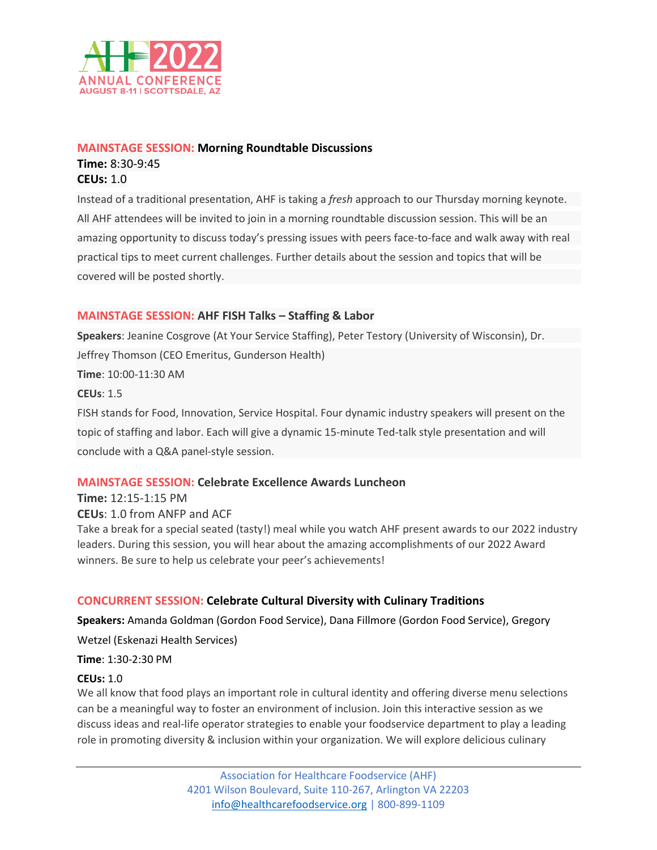

# **MAINSTAGE SESSION: Morning Roundtable Discussions Time:** 8:30-9:45 **CEUs:** 1.0

Instead of a traditional presentation, AHF is taking a *fresh* approach to our Thursday morning keynote. All AHF attendees will be invited to join in a morning roundtable discussion session. This will be an amazing opportunity to discuss today's pressing issues with peers face-to-face and walk away with real practical tips to meet current challenges. Further details about the session and topics that will be covered will be posted shortly.

#### **MAINSTAGE SESSION: AHF FISH Talks – Staffing & Labor**

**Speakers**: Jeanine Cosgrove (At Your Service Staffing), Peter Testory (University of Wisconsin), Dr. Jeffrey Thomson (CEO Emeritus, Gunderson Health) **Time**: 10:00-11:30 AM **CEUs**: 1.5 FISH stands for Food, Innovation, Service Hospital. Four dynamic industry speakers will present on the topic of staffing and labor. Each will give a dynamic 15-minute Ted-talk style presentation and will conclude with a Q&A panel-style session.

### **MAINSTAGE SESSION: Celebrate Excellence Awards Luncheon**

**Time:** 12:15-1:15 PM **CEUs**: 1.0 from ANFP and ACF Take a break for a special seated (tasty!) meal while you watch AHF present awards to our 2022 industry leaders. During this session, you will hear about the amazing accomplishments of our 2022 Award winners. Be sure to help us celebrate your peer's achievements!

### **CONCURRENT SESSION: Celebrate Cultural Diversity with Culinary Traditions**

**Speakers:** Amanda Goldman (Gordon Food Service), Dana Fillmore (Gordon Food Service), Gregory Wetzel (Eskenazi Health Services)

**Time**: 1:30-2:30 PM

#### **CEUs:** 1.0

We all know that food plays an important role in cultural identity and offering diverse menu selections can be a meaningful way to foster an environment of inclusion. Join this interactive session as we discuss ideas and real-life operator strategies to enable your foodservice department to play a leading role in promoting diversity & inclusion within your organization. We will explore delicious culinary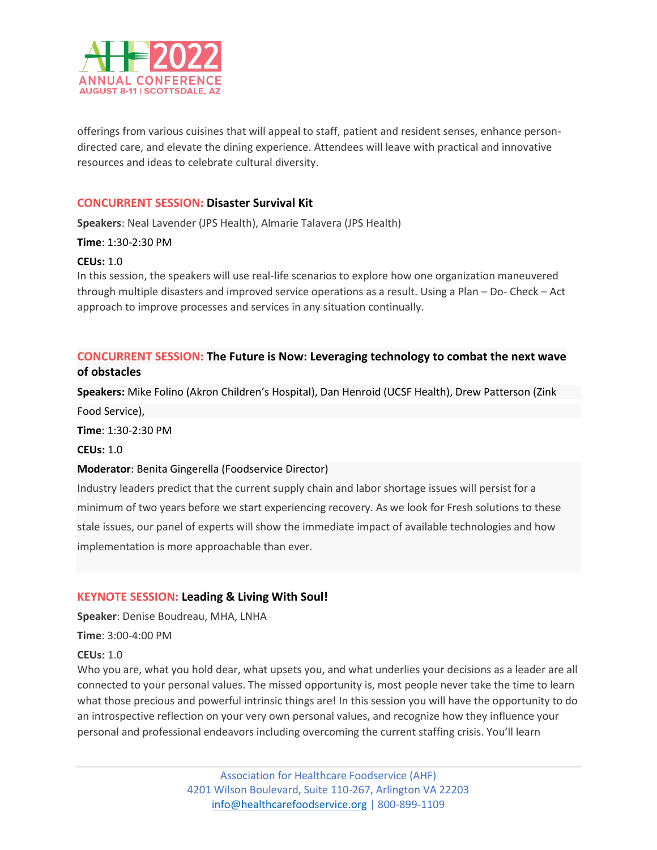

offerings from various cuisines that will appeal to staff, patient and resident senses, enhance persondirected care, and elevate the dining experience. Attendees will leave with practical and innovative resources and ideas to celebrate cultural diversity.

#### **CONCURRENT SESSION: Disaster Survival Kit**

**Speakers**: Neal Lavender (JPS Health), Almarie Talavera (JPS Health)

**Time**: 1:30-2:30 PM

#### **CEUs:** 1.0

In this session, the speakers will use real-life scenarios to explore how one organization maneuvered through multiple disasters and improved service operations as a result. Using a Plan – Do- Check – Act approach to improve processes and services in any situation continually.

# **CONCURRENT SESSION: The Future is Now: Leveraging technology to combat the next wave of obstacles**

**Speakers:** Mike Folino (Akron Children's Hospital), Dan Henroid (UCSF Health), Drew Patterson (Zink

Food Service),

**Time**: 1:30-2:30 PM

**CEUs:** 1.0

#### **Moderator**: Benita Gingerella (Foodservice Director)

Industry leaders predict that the current supply chain and labor shortage issues will persist for a minimum of two years before we start experiencing recovery. As we look for Fresh solutions to these stale issues, our panel of experts will show the immediate impact of available technologies and how implementation is more approachable than ever.

#### **KEYNOTE SESSION: Leading & Living With Soul!**

**Speaker**: Denise Boudreau, MHA, LNHA

**Time**: 3:00-4:00 PM

**CEUs:** 1.0

Who you are, what you hold dear, what upsets you, and what underlies your decisions as a leader are all connected to your personal values. The missed opportunity is, most people never take the time to learn what those precious and powerful intrinsic things are! In this session you will have the opportunity to do an introspective reflection on your very own personal values, and recognize how they influence your personal and professional endeavors including overcoming the current staffing crisis. You'll learn